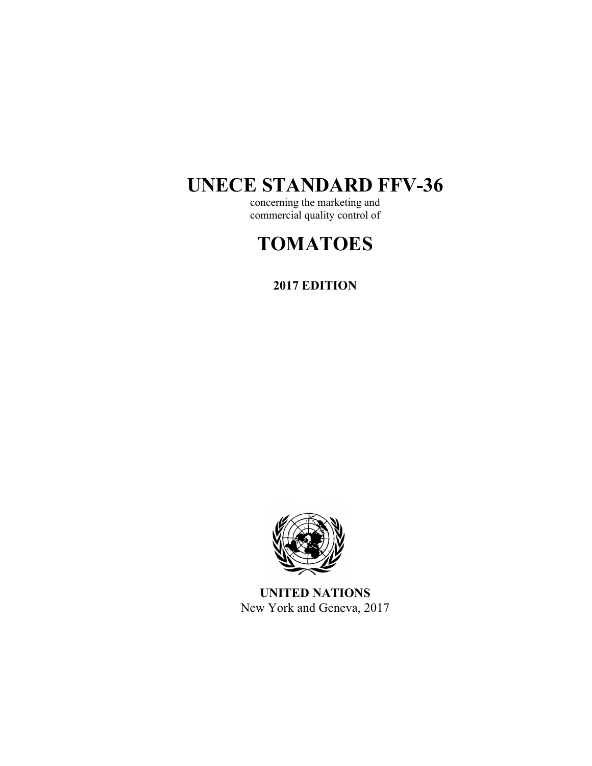# **UNECE STANDARD FFV-36**

concerning the marketing and commercial quality control of

# **TOMATOES**

**2017 EDITION** 



**UNITED NATIONS**  New York and Geneva, 2017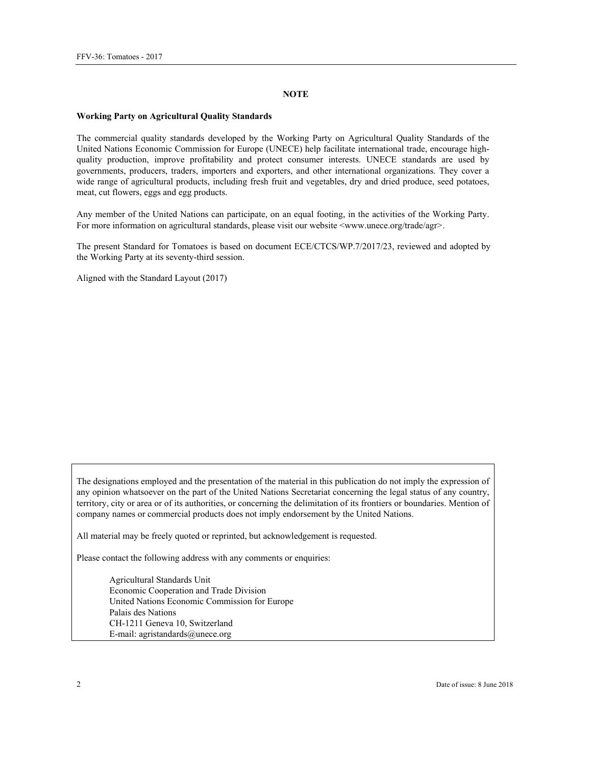#### **NOTE**

#### **Working Party on Agricultural Quality Standards**

The commercial quality standards developed by the Working Party on Agricultural Quality Standards of the United Nations Economic Commission for Europe (UNECE) help facilitate international trade, encourage highquality production, improve profitability and protect consumer interests. UNECE standards are used by governments, producers, traders, importers and exporters, and other international organizations. They cover a wide range of agricultural products, including fresh fruit and vegetables, dry and dried produce, seed potatoes, meat, cut flowers, eggs and egg products.

Any member of the United Nations can participate, on an equal footing, in the activities of the Working Party. For more information on agricultural standards, please visit our website <www.unece.org/trade/agr>.

The present Standard for Tomatoes is based on document ECE/CTCS/WP.7/2017/23, reviewed and adopted by the Working Party at its seventy-third session.

Aligned with the Standard Layout (2017)

The designations employed and the presentation of the material in this publication do not imply the expression of any opinion whatsoever on the part of the United Nations Secretariat concerning the legal status of any country, territory, city or area or of its authorities, or concerning the delimitation of its frontiers or boundaries. Mention of company names or commercial products does not imply endorsement by the United Nations.

All material may be freely quoted or reprinted, but acknowledgement is requested.

Please contact the following address with any comments or enquiries:

Agricultural Standards Unit Economic Cooperation and Trade Division United Nations Economic Commission for Europe Palais des Nations CH-1211 Geneva 10, Switzerland E-mail: agristandards@unece.org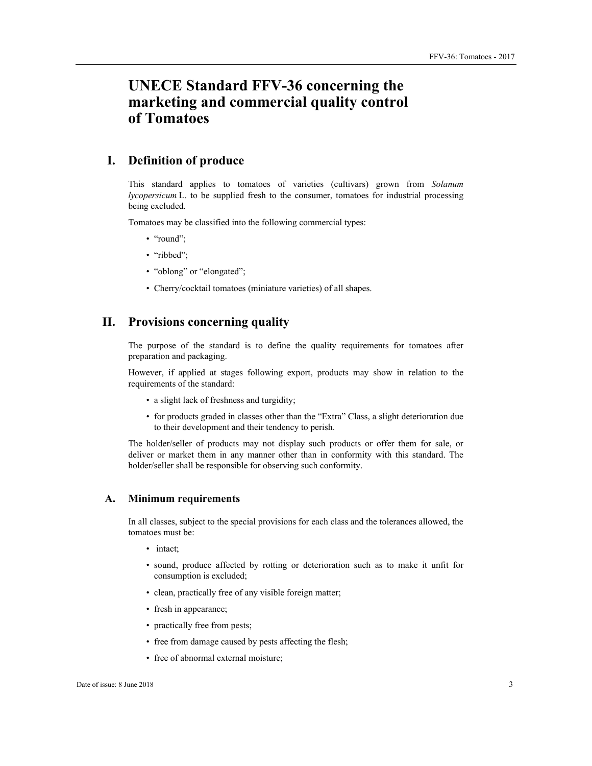# **UNECE Standard FFV-36 concerning the marketing and commercial quality control of Tomatoes**

# **I. Definition of produce**

This standard applies to tomatoes of varieties (cultivars) grown from *Solanum lycopersicum* L. to be supplied fresh to the consumer, tomatoes for industrial processing being excluded.

Tomatoes may be classified into the following commercial types:

- "round";
- "ribbed";
- "oblong" or "elongated";
- Cherry/cocktail tomatoes (miniature varieties) of all shapes.

# **II. Provisions concerning quality**

The purpose of the standard is to define the quality requirements for tomatoes after preparation and packaging.

However, if applied at stages following export, products may show in relation to the requirements of the standard:

- a slight lack of freshness and turgidity;
- for products graded in classes other than the "Extra" Class, a slight deterioration due to their development and their tendency to perish.

The holder/seller of products may not display such products or offer them for sale, or deliver or market them in any manner other than in conformity with this standard. The holder/seller shall be responsible for observing such conformity.

## **A. Minimum requirements**

In all classes, subject to the special provisions for each class and the tolerances allowed, the tomatoes must be:

- intact;
- sound, produce affected by rotting or deterioration such as to make it unfit for consumption is excluded;
- clean, practically free of any visible foreign matter;
- fresh in appearance;
- practically free from pests;
- free from damage caused by pests affecting the flesh;
- free of abnormal external moisture;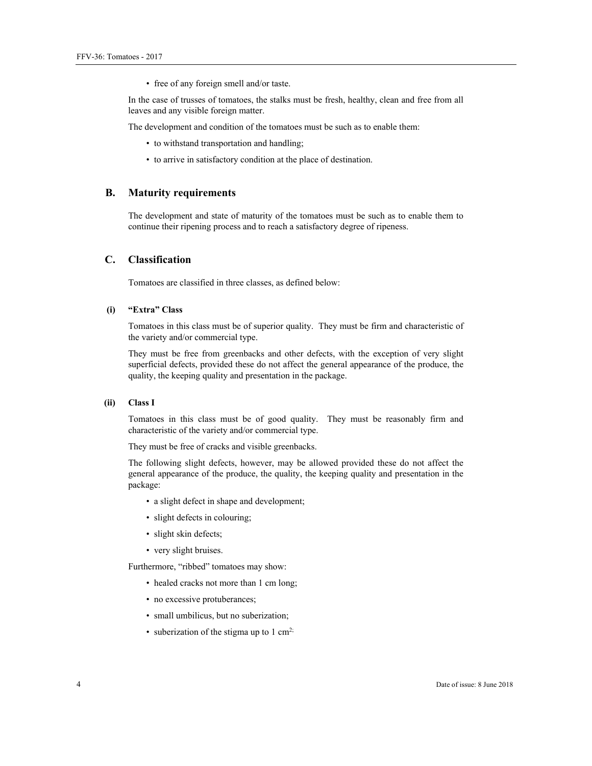• free of any foreign smell and/or taste.

In the case of trusses of tomatoes, the stalks must be fresh, healthy, clean and free from all leaves and any visible foreign matter.

The development and condition of the tomatoes must be such as to enable them:

- to withstand transportation and handling;
- to arrive in satisfactory condition at the place of destination.

#### **B. Maturity requirements**

The development and state of maturity of the tomatoes must be such as to enable them to continue their ripening process and to reach a satisfactory degree of ripeness.

# **C. Classification**

Tomatoes are classified in three classes, as defined below:

# **(i) "Extra" Class**

Tomatoes in this class must be of superior quality. They must be firm and characteristic of the variety and/or commercial type.

They must be free from greenbacks and other defects, with the exception of very slight superficial defects, provided these do not affect the general appearance of the produce, the quality, the keeping quality and presentation in the package.

#### **(ii) Class I**

Tomatoes in this class must be of good quality. They must be reasonably firm and characteristic of the variety and/or commercial type.

They must be free of cracks and visible greenbacks.

The following slight defects, however, may be allowed provided these do not affect the general appearance of the produce, the quality, the keeping quality and presentation in the package:

- a slight defect in shape and development;
- slight defects in colouring;
- slight skin defects;
- very slight bruises.

Furthermore, "ribbed" tomatoes may show:

- healed cracks not more than 1 cm long;
- no excessive protuberances;
- small umbilicus, but no suberization;
- suberization of the stigma up to  $1 \text{ cm}^2$ ;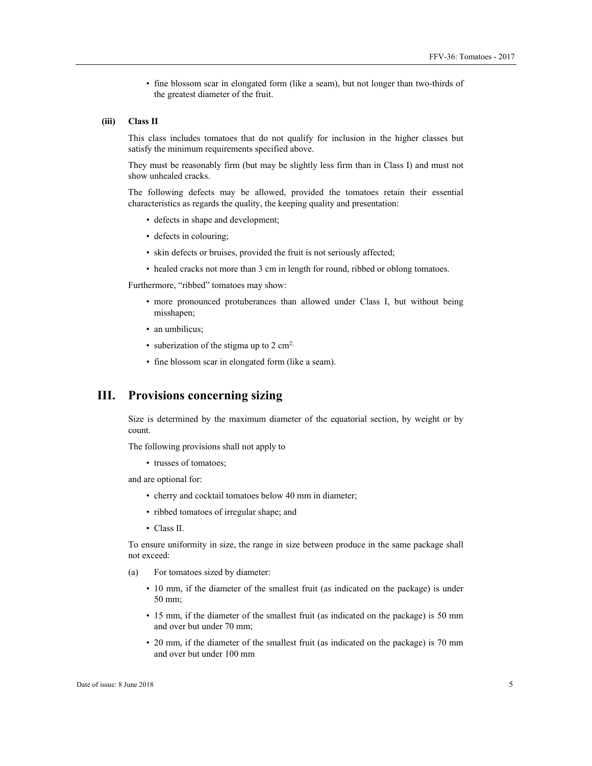• fine blossom scar in elongated form (like a seam), but not longer than two-thirds of the greatest diameter of the fruit.

#### **(iii) Class II**

This class includes tomatoes that do not qualify for inclusion in the higher classes but satisfy the minimum requirements specified above.

They must be reasonably firm (but may be slightly less firm than in Class I) and must not show unhealed cracks.

The following defects may be allowed, provided the tomatoes retain their essential characteristics as regards the quality, the keeping quality and presentation:

- defects in shape and development;
- defects in colouring;
- skin defects or bruises, provided the fruit is not seriously affected;
- healed cracks not more than 3 cm in length for round, ribbed or oblong tomatoes.

Furthermore, "ribbed" tomatoes may show:

- more pronounced protuberances than allowed under Class I, but without being misshapen;
- an umbilicus;
- suberization of the stigma up to  $2 \text{ cm}^2$ ;
- fine blossom scar in elongated form (like a seam).

# **III. Provisions concerning sizing**

Size is determined by the maximum diameter of the equatorial section, by weight or by count.

The following provisions shall not apply to

• trusses of tomatoes;

and are optional for:

- cherry and cocktail tomatoes below 40 mm in diameter;
- ribbed tomatoes of irregular shape; and
- Class II.

To ensure uniformity in size, the range in size between produce in the same package shall not exceed:

- (a) For tomatoes sized by diameter:
	- 10 mm, if the diameter of the smallest fruit (as indicated on the package) is under 50 mm;
	- 15 mm, if the diameter of the smallest fruit (as indicated on the package) is 50 mm and over but under 70 mm;
	- 20 mm, if the diameter of the smallest fruit (as indicated on the package) is 70 mm and over but under 100 mm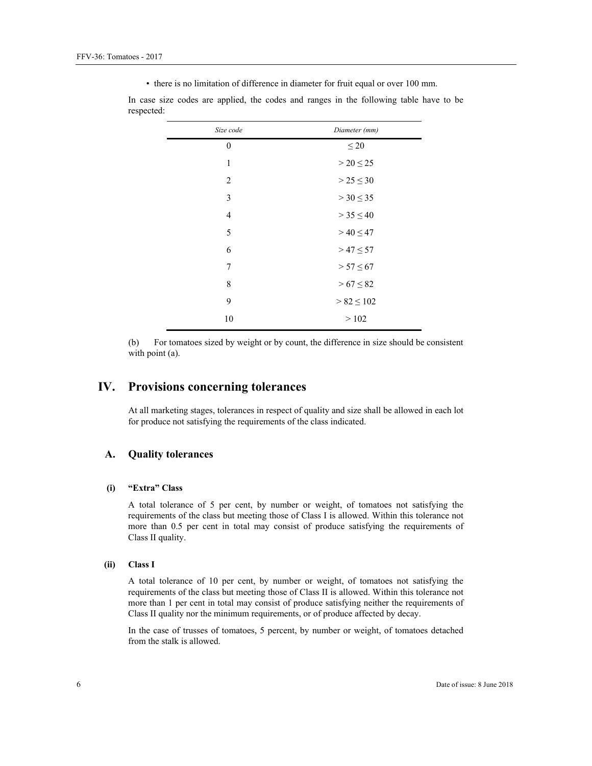• there is no limitation of difference in diameter for fruit equal or over 100 mm.

| Size code        | Diameter (mm)    |
|------------------|------------------|
| $\boldsymbol{0}$ | $\leq 20$        |
| $\mathbf{1}$     | $>$ 20 $\leq$ 25 |
| 2                | $> 25 \le 30$    |
| 3                | $>$ 30 $\leq$ 35 |
| $\overline{4}$   | $> 35 \le 40$    |
| 5                | $> 40 \le 47$    |
| 6                | $> 47 \le 57$    |
| 7                | $> 57 \le 67$    |
| 8                | $> 67 \le 82$    |
| 9                | $> 82 \le 102$   |
| 10               | >102             |

In case size codes are applied, the codes and ranges in the following table have to be respected:

(b) For tomatoes sized by weight or by count, the difference in size should be consistent with point (a).

# **IV. Provisions concerning tolerances**

At all marketing stages, tolerances in respect of quality and size shall be allowed in each lot for produce not satisfying the requirements of the class indicated.

# **A. Quality tolerances**

#### **(i) "Extra" Class**

A total tolerance of 5 per cent, by number or weight, of tomatoes not satisfying the requirements of the class but meeting those of Class I is allowed. Within this tolerance not more than 0.5 per cent in total may consist of produce satisfying the requirements of Class II quality.

#### **(ii) Class I**

A total tolerance of 10 per cent, by number or weight, of tomatoes not satisfying the requirements of the class but meeting those of Class II is allowed. Within this tolerance not more than 1 per cent in total may consist of produce satisfying neither the requirements of Class II quality nor the minimum requirements, or of produce affected by decay.

In the case of trusses of tomatoes, 5 percent, by number or weight, of tomatoes detached from the stalk is allowed.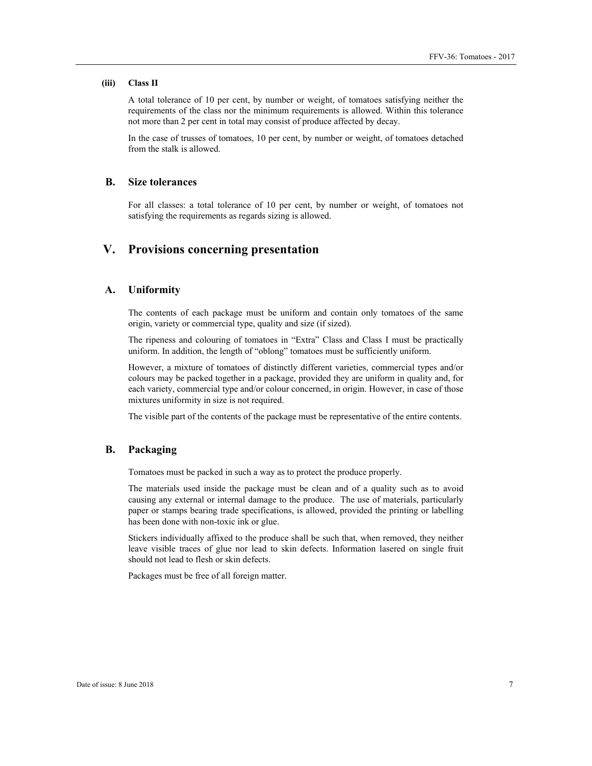#### **(iii) Class II**

A total tolerance of 10 per cent, by number or weight, of tomatoes satisfying neither the requirements of the class nor the minimum requirements is allowed. Within this tolerance not more than 2 per cent in total may consist of produce affected by decay.

In the case of trusses of tomatoes, 10 per cent, by number or weight, of tomatoes detached from the stalk is allowed.

### **B. Size tolerances**

For all classes: a total tolerance of 10 per cent, by number or weight, of tomatoes not satisfying the requirements as regards sizing is allowed.

# **V. Provisions concerning presentation**

# **A. Uniformity**

The contents of each package must be uniform and contain only tomatoes of the same origin, variety or commercial type, quality and size (if sized).

The ripeness and colouring of tomatoes in "Extra" Class and Class I must be practically uniform. In addition, the length of "oblong" tomatoes must be sufficiently uniform.

However, a mixture of tomatoes of distinctly different varieties, commercial types and/or colours may be packed together in a package, provided they are uniform in quality and, for each variety, commercial type and/or colour concerned, in origin. However, in case of those mixtures uniformity in size is not required.

The visible part of the contents of the package must be representative of the entire contents.

## **B. Packaging**

Tomatoes must be packed in such a way as to protect the produce properly.

The materials used inside the package must be clean and of a quality such as to avoid causing any external or internal damage to the produce. The use of materials, particularly paper or stamps bearing trade specifications, is allowed, provided the printing or labelling has been done with non-toxic ink or glue.

Stickers individually affixed to the produce shall be such that, when removed, they neither leave visible traces of glue nor lead to skin defects. Information lasered on single fruit should not lead to flesh or skin defects.

Packages must be free of all foreign matter.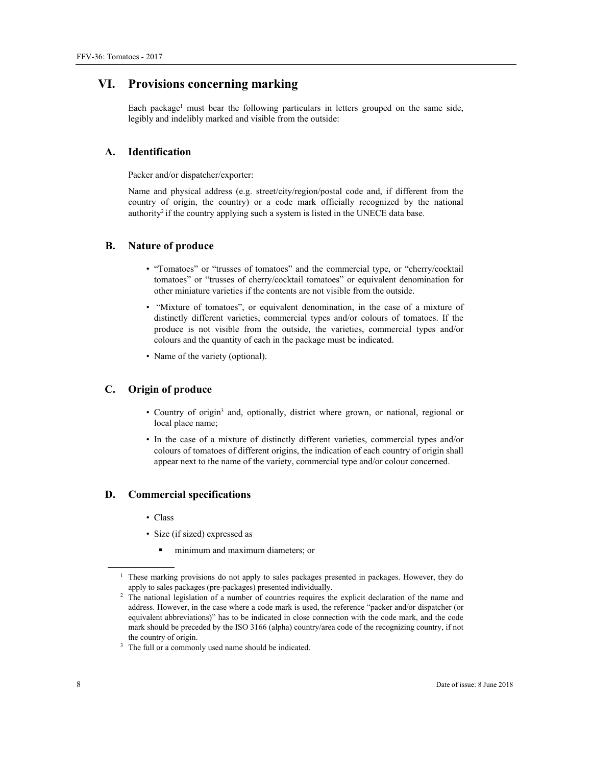# **VI. Provisions concerning marking**

Each package<sup>1</sup> must bear the following particulars in letters grouped on the same side, legibly and indelibly marked and visible from the outside:

# **A. Identification**

Packer and/or dispatcher/exporter:

Name and physical address (e.g. street/city/region/postal code and, if different from the country of origin, the country) or a code mark officially recognized by the national authority<sup>2</sup> if the country applying such a system is listed in the UNECE data base.

# **B. Nature of produce**

- "Tomatoes" or "trusses of tomatoes" and the commercial type, or "cherry/cocktail tomatoes" or "trusses of cherry/cocktail tomatoes" or equivalent denomination for other miniature varieties if the contents are not visible from the outside.
- "Mixture of tomatoes", or equivalent denomination, in the case of a mixture of distinctly different varieties, commercial types and/or colours of tomatoes. If the produce is not visible from the outside, the varieties, commercial types and/or colours and the quantity of each in the package must be indicated.
- Name of the variety (optional).

# **C. Origin of produce**

- Country of origin<sup>3</sup> and, optionally, district where grown, or national, regional or local place name;
- In the case of a mixture of distinctly different varieties, commercial types and/or colours of tomatoes of different origins, the indication of each country of origin shall appear next to the name of the variety, commercial type and/or colour concerned.

# **D. Commercial specifications**

- Class
- Size (if sized) expressed as
	- minimum and maximum diameters; or

 $\overline{a}$ 

<sup>&</sup>lt;sup>1</sup> These marking provisions do not apply to sales packages presented in packages. However, they do apply to sales packages (pre-packages) presented individually.

<sup>&</sup>lt;sup>2</sup> The national legislation of a number of countries requires the explicit declaration of the name and address. However, in the case where a code mark is used, the reference "packer and/or dispatcher (or equivalent abbreviations)" has to be indicated in close connection with the code mark, and the code mark should be preceded by the ISO 3166 (alpha) country/area code of the recognizing country, if not the country of origin.<br><sup>3</sup> The full or a commonly used name should be indicated.